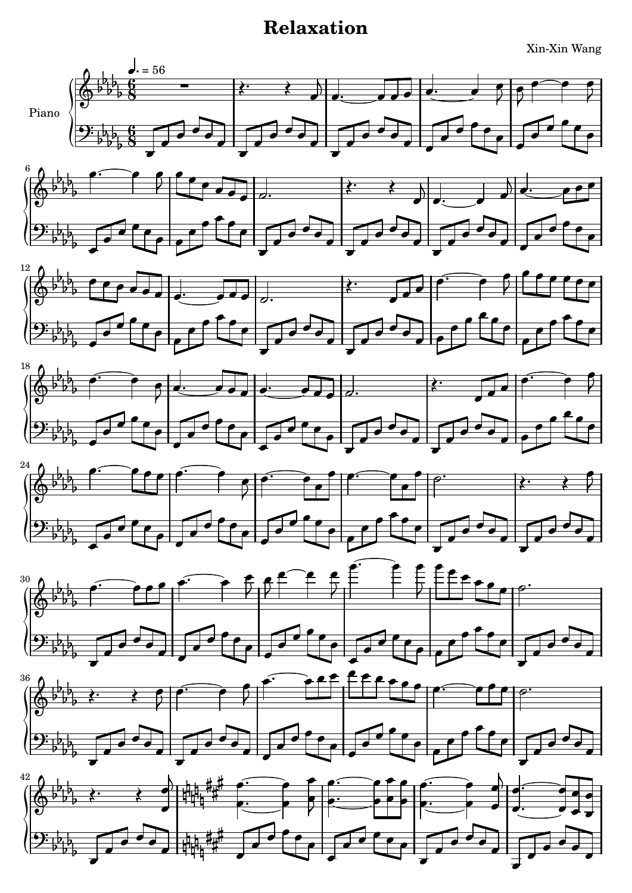## **Relaxation**

Xin-Xin Wang